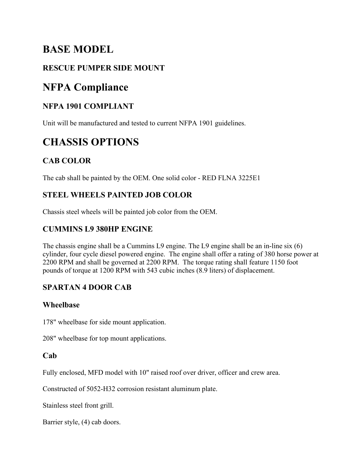# **BASE MODEL**

# **RESCUE PUMPER SIDE MOUNT**

# **NFPA Compliance**

# **NFPA 1901 COMPLIANT**

Unit will be manufactured and tested to current NFPA 1901 guidelines.

# **CHASSIS OPTIONS**

# **CAB COLOR**

The cab shall be painted by the OEM. One solid color - RED FLNA 3225E1

## **STEEL WHEELS PAINTED JOB COLOR**

Chassis steel wheels will be painted job color from the OEM.

## **CUMMINS L9 380HP ENGINE**

The chassis engine shall be a Cummins L9 engine. The L9 engine shall be an in-line six (6) cylinder, four cycle diesel powered engine. The engine shall offer a rating of 380 horse power at 2200 RPM and shall be governed at 2200 RPM. The torque rating shall feature 1150 foot pounds of torque at 1200 RPM with 543 cubic inches (8.9 liters) of displacement.

## **SPARTAN 4 DOOR CAB**

## **Wheelbase**

178" wheelbase for side mount application.

208" wheelbase for top mount applications.

## **Cab**

Fully enclosed, MFD model with 10" raised roof over driver, officer and crew area.

Constructed of 5052-H32 corrosion resistant aluminum plate.

Stainless steel front grill.

Barrier style, (4) cab doors.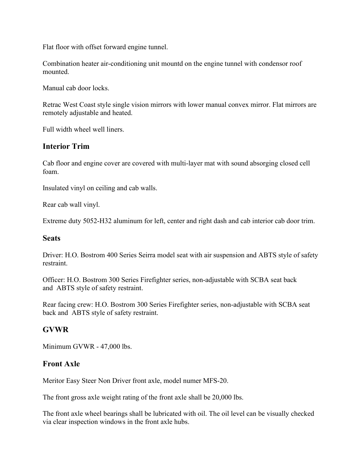Flat floor with offset forward engine tunnel.

Combination heater air-conditioning unit mountd on the engine tunnel with condensor roof mounted.

Manual cab door locks.

Retrac West Coast style single vision mirrors with lower manual convex mirror. Flat mirrors are remotely adjustable and heated.

Full width wheel well liners.

## **Interior Trim**

Cab floor and engine cover are covered with multi-layer mat with sound absorging closed cell foam.

Insulated vinyl on ceiling and cab walls.

Rear cab wall vinyl.

Extreme duty 5052-H32 aluminum for left, center and right dash and cab interior cab door trim.

#### **Seats**

Driver: H.O. Bostrom 400 Series Seirra model seat with air suspension and ABTS style of safety restraint.

Officer: H.O. Bostrom 300 Series Firefighter series, non-adjustable with SCBA seat back and ABTS style of safety restraint.

Rear facing crew: H.O. Bostrom 300 Series Firefighter series, non-adjustable with SCBA seat back and ABTS style of safety restraint.

## **GVWR**

Minimum GVWR - 47,000 lbs.

#### **Front Axle**

Meritor Easy Steer Non Driver front axle, model numer MFS-20.

The front gross axle weight rating of the front axle shall be 20,000 lbs.

The front axle wheel bearings shall be lubricated with oil. The oil level can be visually checked via clear inspection windows in the front axle hubs.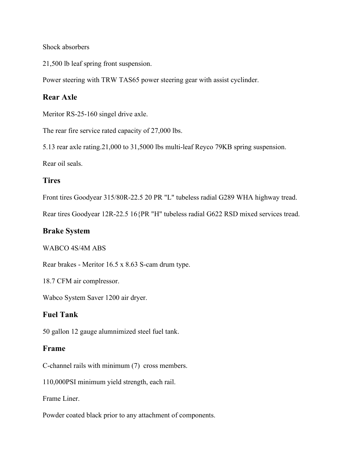#### Shock absorbers

21,500 lb leaf spring front suspension.

Power steering with TRW TAS65 power steering gear with assist cyclinder.

## **Rear Axle**

Meritor RS-25-160 singel drive axle.

The rear fire service rated capacity of 27,000 lbs.

5.13 rear axle rating.21,000 to 31,5000 lbs multi-leaf Reyco 79KB spring suspension.

Rear oil seals.

#### **Tires**

Front tires Goodyear 315/80R-22.5 20 PR "L" tubeless radial G289 WHA highway tread.

Rear tires Goodyear 12R-22.5 16{PR "H" tubeless radial G622 RSD mixed services tread.

#### **Brake System**

#### WABCO 4S/4M ABS

Rear brakes - Meritor 16.5 x 8.63 S-cam drum type.

18.7 CFM air complressor.

Wabco System Saver 1200 air dryer.

#### **Fuel Tank**

50 gallon 12 gauge alumnimized steel fuel tank.

#### **Frame**

C-channel rails with minimum (7) cross members.

110,000PSI minimum yield strength, each rail.

Frame Liner.

Powder coated black prior to any attachment of components.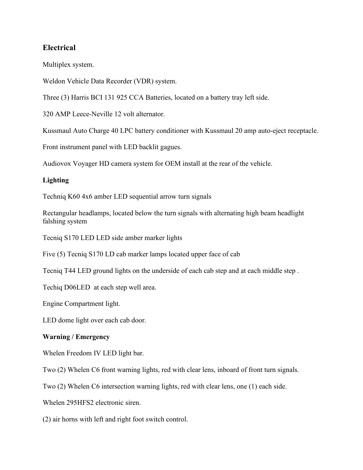## **Electrical**

Multiplex system.

Weldon Vehicle Data Recorder (VDR) system.

Three (3) Harris BCI 131 925 CCA Batteries, located on a battery tray left side.

320 AMP Leece-Neville 12 volt alternator.

Kussmaul Auto Charge 40 LPC battery conditioner with Kussmaul 20 amp auto-eject receptacle.

Front instrument panel with LED backlit gagues.

Audiovox Voyager HD camera system for OEM install at the rear of the vehicle.

#### **Lighting**

Techniq K60 4x6 amber LED sequential arrow turn signals

Rectangular headlamps, located below the turn signals with alternating high beam headlight falshing system

Tecniq S170 LED LED side amber marker lights

Five (5) Tecniq S170 LD cab marker lamps located upper face of cab

Tecniq T44 LED ground lights on the underside of each cab step and at each middle step .

Techiq D06LED at each step well area.

Engine Compartment light.

LED dome light over each cab door.

#### **Warning / Emergency**

Whelen Freedom IV LED light bar.

Two (2) Whelen C6 front warning lights, red with clear lens, inboard of front turn signals.

Two (2) Whelen C6 intersection warning lights, red with clear lens, one (1) each side.

Whelen 295HFS2 electronic siren.

(2) air horns with left and right foot switch control.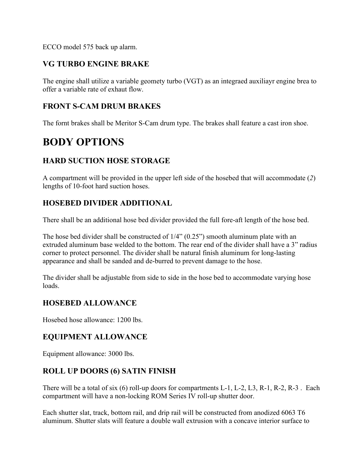ECCO model 575 back up alarm.

## **VG TURBO ENGINE BRAKE**

The engine shall utilize a variable geomety turbo (VGT) as an integraed auxiliayr engine brea to offer a variable rate of exhaut flow.

## **FRONT S-CAM DRUM BRAKES**

The fornt brakes shall be Meritor S-Cam drum type. The brakes shall feature a cast iron shoe.

# **BODY OPTIONS**

## **HARD SUCTION HOSE STORAGE**

A compartment will be provided in the upper left side of the hosebed that will accommodate (*2*) lengths of 10-foot hard suction hoses.

## **HOSEBED DIVIDER ADDITIONAL**

There shall be an additional hose bed divider provided the full fore-aft length of the hose bed.

The hose bed divider shall be constructed of  $1/4$ " (0.25") smooth aluminum plate with an extruded aluminum base welded to the bottom. The rear end of the divider shall have a 3" radius corner to protect personnel. The divider shall be natural finish aluminum for long-lasting appearance and shall be sanded and de-burred to prevent damage to the hose.

The divider shall be adjustable from side to side in the hose bed to accommodate varying hose loads.

## **HOSEBED ALLOWANCE**

Hosebed hose allowance: 1200 lbs.

## **EQUIPMENT ALLOWANCE**

Equipment allowance: 3000 lbs.

## **ROLL UP DOORS (6) SATIN FINISH**

There will be a total of six (6) roll-up doors for compartments L-1, L-2, L3, R-1, R-2, R-3. Each compartment will have a non-locking ROM Series IV roll-up shutter door.

Each shutter slat, track, bottom rail, and drip rail will be constructed from anodized 6063 T6 aluminum. Shutter slats will feature a double wall extrusion with a concave interior surface to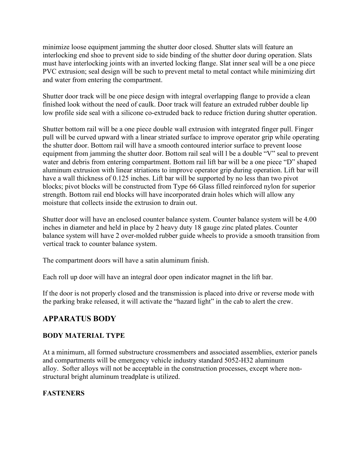minimize loose equipment jamming the shutter door closed. Shutter slats will feature an interlocking end shoe to prevent side to side binding of the shutter door during operation. Slats must have interlocking joints with an inverted locking flange. Slat inner seal will be a one piece PVC extrusion; seal design will be such to prevent metal to metal contact while minimizing dirt and water from entering the compartment.

Shutter door track will be one piece design with integral overlapping flange to provide a clean finished look without the need of caulk. Door track will feature an extruded rubber double lip low profile side seal with a silicone co-extruded back to reduce friction during shutter operation.

Shutter bottom rail will be a one piece double wall extrusion with integrated finger pull. Finger pull will be curved upward with a linear striated surface to improve operator grip while operating the shutter door. Bottom rail will have a smooth contoured interior surface to prevent loose equipment from jamming the shutter door. Bottom rail seal will l be a double "V" seal to prevent water and debris from entering compartment. Bottom rail lift bar will be a one piece "D" shaped aluminum extrusion with linear striations to improve operator grip during operation. Lift bar will have a wall thickness of 0.125 inches. Lift bar will be supported by no less than two pivot blocks; pivot blocks will be constructed from Type 66 Glass filled reinforced nylon for superior strength. Bottom rail end blocks will have incorporated drain holes which will allow any moisture that collects inside the extrusion to drain out.

Shutter door will have an enclosed counter balance system. Counter balance system will be 4.00 inches in diameter and held in place by 2 heavy duty 18 gauge zinc plated plates. Counter balance system will have 2 over-molded rubber guide wheels to provide a smooth transition from vertical track to counter balance system.

The compartment doors will have a satin aluminum finish.

Each roll up door will have an integral door open indicator magnet in the lift bar.

If the door is not properly closed and the transmission is placed into drive or reverse mode with the parking brake released, it will activate the "hazard light" in the cab to alert the crew.

## **APPARATUS BODY**

## **BODY MATERIAL TYPE**

At a minimum, all formed substructure crossmembers and associated assemblies, exterior panels and compartments will be emergency vehicle industry standard 5052-H32 aluminum alloy. Softer alloys will not be acceptable in the construction processes, except where nonstructural bright aluminum treadplate is utilized.

## **FASTENERS**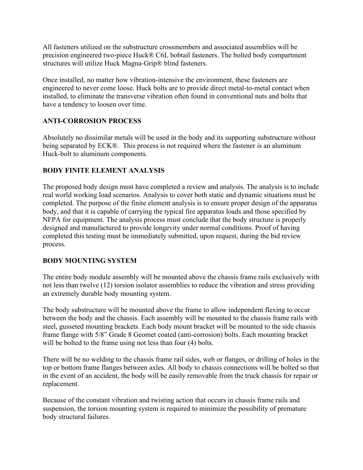All fasteners utilized on the substructure crossmembers and associated assemblies will be precision engineered two-piece Huck® C6L bobtail fasteners. The bolted body compartment structures will utilize Huck Magna-Grip® blind fasteners.

Once installed, no matter how vibration-intensive the environment, these fasteners are engineered to never come loose. Huck bolts are to provide direct metal-to-metal contact when installed, to eliminate the transverse vibration often found in conventional nuts and bolts that have a tendency to loosen over time.

#### **ANTI-CORROSION PROCESS**

Absolutely no dissimilar metals will be used in the body and its supporting substructure without being separated by ECK®. This process is not required where the fastener is an aluminum Huck-bolt to aluminum components.

#### **BODY FINITE ELEMENT ANALYSIS**

The proposed body design must have completed a review and analysis. The analysis is to include real world working load scenarios. Analysis to cover both static and dynamic situations must be completed. The purpose of the finite element analysis is to ensure proper design of the apparatus body, and that it is capable of carrying the typical fire apparatus loads and those specified by NFPA for equipment. The analysis process must conclude that the body structure is properly designed and manufactured to provide longevity under normal conditions. Proof of having completed this testing must be immediately submitted, upon request, during the bid review process.

#### **BODY MOUNTING SYSTEM**

The entire body module assembly will be mounted above the chassis frame rails exclusively with not less than twelve (12) torsion isolator assemblies to reduce the vibration and stress providing an extremely durable body mounting system.

The body substructure will be mounted above the frame to allow independent flexing to occur between the body and the chassis. Each assembly will be mounted to the chassis frame rails with steel, gusseted mounting brackets. Each body mount bracket will be mounted to the side chassis frame flange with 5/8" Grade 8 Geomet coated (anti-corrosion) bolts. Each mounting bracket will be bolted to the frame using not less than four (4) bolts.

There will be no welding to the chassis frame rail sides, web or flanges, or drilling of holes in the top or bottom frame flanges between axles. All body to chassis connections will be bolted so that in the event of an accident, the body will be easily removable from the truck chassis for repair or replacement.

Because of the constant vibration and twisting action that occurs in chassis frame rails and suspension, the torsion mounting system is required to minimize the possibility of premature body structural failures.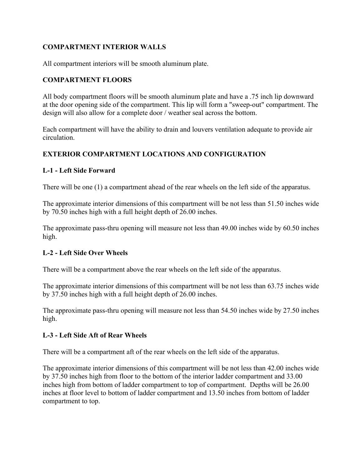#### **COMPARTMENT INTERIOR WALLS**

All compartment interiors will be smooth aluminum plate.

#### **COMPARTMENT FLOORS**

All body compartment floors will be smooth aluminum plate and have a .75 inch lip downward at the door opening side of the compartment. This lip will form a "sweep-out" compartment. The design will also allow for a complete door / weather seal across the bottom.

Each compartment will have the ability to drain and louvers ventilation adequate to provide air circulation.

#### **EXTERIOR COMPARTMENT LOCATIONS AND CONFIGURATION**

#### **L-1 - Left Side Forward**

There will be one (1) a compartment ahead of the rear wheels on the left side of the apparatus.

The approximate interior dimensions of this compartment will be not less than 51.50 inches wide by 70.50 inches high with a full height depth of 26.00 inches.

The approximate pass-thru opening will measure not less than 49.00 inches wide by 60.50 inches high.

#### **L-2 - Left Side Over Wheels**

There will be a compartment above the rear wheels on the left side of the apparatus.

The approximate interior dimensions of this compartment will be not less than 63.75 inches wide by 37.50 inches high with a full height depth of 26.00 inches.

The approximate pass-thru opening will measure not less than 54.50 inches wide by 27.50 inches high.

#### **L-3 - Left Side Aft of Rear Wheels**

There will be a compartment aft of the rear wheels on the left side of the apparatus.

The approximate interior dimensions of this compartment will be not less than 42.00 inches wide by 37.50 inches high from floor to the bottom of the interior ladder compartment and 33.00 inches high from bottom of ladder compartment to top of compartment. Depths will be 26.00 inches at floor level to bottom of ladder compartment and 13.50 inches from bottom of ladder compartment to top.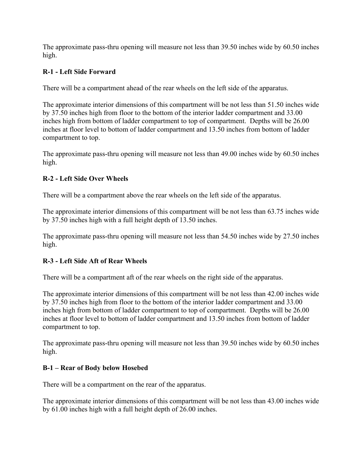The approximate pass-thru opening will measure not less than 39.50 inches wide by 60.50 inches high.

#### **R-1 - Left Side Forward**

There will be a compartment ahead of the rear wheels on the left side of the apparatus.

The approximate interior dimensions of this compartment will be not less than 51.50 inches wide by 37.50 inches high from floor to the bottom of the interior ladder compartment and 33.00 inches high from bottom of ladder compartment to top of compartment. Depths will be 26.00 inches at floor level to bottom of ladder compartment and 13.50 inches from bottom of ladder compartment to top.

The approximate pass-thru opening will measure not less than 49.00 inches wide by 60.50 inches high.

#### **R-2 - Left Side Over Wheels**

There will be a compartment above the rear wheels on the left side of the apparatus.

The approximate interior dimensions of this compartment will be not less than 63.75 inches wide by 37.50 inches high with a full height depth of 13.50 inches.

The approximate pass-thru opening will measure not less than 54.50 inches wide by 27.50 inches high.

#### **R-3 - Left Side Aft of Rear Wheels**

There will be a compartment aft of the rear wheels on the right side of the apparatus.

The approximate interior dimensions of this compartment will be not less than 42.00 inches wide by 37.50 inches high from floor to the bottom of the interior ladder compartment and 33.00 inches high from bottom of ladder compartment to top of compartment. Depths will be 26.00 inches at floor level to bottom of ladder compartment and 13.50 inches from bottom of ladder compartment to top.

The approximate pass-thru opening will measure not less than 39.50 inches wide by 60.50 inches high.

#### **B-1 – Rear of Body below Hosebed**

There will be a compartment on the rear of the apparatus.

The approximate interior dimensions of this compartment will be not less than 43.00 inches wide by 61.00 inches high with a full height depth of 26.00 inches.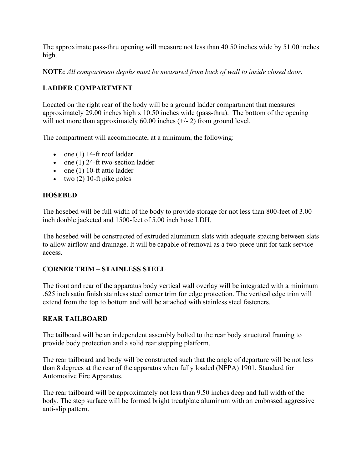The approximate pass-thru opening will measure not less than 40.50 inches wide by 51.00 inches high.

**NOTE:** *All compartment depths must be measured from back of wall to inside closed door.*

#### **LADDER COMPARTMENT**

Located on the right rear of the body will be a ground ladder compartment that measures approximately 29.00 inches high x 10.50 inches wide (pass-thru). The bottom of the opening will not more than approximately  $60.00$  inches  $(+/- 2)$  from ground level.

The compartment will accommodate, at a minimum, the following:

- one (1) 14-ft roof ladder
- one (1) 24-ft two-section ladder
- one (1) 10-ft attic ladder
- two  $(2)$  10-ft pike poles

#### **HOSEBED**

The hosebed will be full width of the body to provide storage for not less than 800-feet of 3.00 inch double jacketed and 1500-feet of 5.00 inch hose LDH.

The hosebed will be constructed of extruded aluminum slats with adequate spacing between slats to allow airflow and drainage. It will be capable of removal as a two-piece unit for tank service access.

#### **CORNER TRIM – STAINLESS STEEL**

The front and rear of the apparatus body vertical wall overlay will be integrated with a minimum .625 inch satin finish stainless steel corner trim for edge protection. The vertical edge trim will extend from the top to bottom and will be attached with stainless steel fasteners.

#### **REAR TAILBOARD**

The tailboard will be an independent assembly bolted to the rear body structural framing to provide body protection and a solid rear stepping platform.

The rear tailboard and body will be constructed such that the angle of departure will be not less than 8 degrees at the rear of the apparatus when fully loaded (NFPA) 1901, Standard for Automotive Fire Apparatus.

The rear tailboard will be approximately not less than 9.50 inches deep and full width of the body. The step surface will be formed bright treadplate aluminum with an embossed aggressive anti-slip pattern.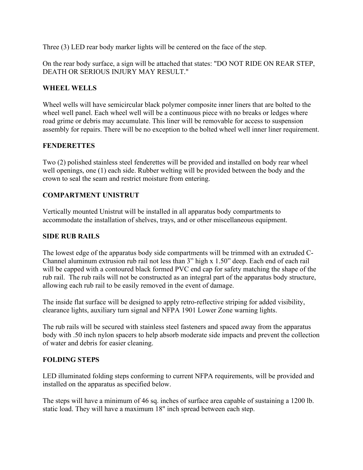Three (3) LED rear body marker lights will be centered on the face of the step.

On the rear body surface, a sign will be attached that states: "DO NOT RIDE ON REAR STEP, DEATH OR SERIOUS INJURY MAY RESULT."

#### **WHEEL WELLS**

Wheel wells will have semicircular black polymer composite inner liners that are bolted to the wheel well panel. Each wheel well will be a continuous piece with no breaks or ledges where road grime or debris may accumulate. This liner will be removable for access to suspension assembly for repairs. There will be no exception to the bolted wheel well inner liner requirement.

#### **FENDERETTES**

Two (2) polished stainless steel fenderettes will be provided and installed on body rear wheel well openings, one (1) each side. Rubber welting will be provided between the body and the crown to seal the seam and restrict moisture from entering.

#### **COMPARTMENT UNISTRUT**

Vertically mounted Unistrut will be installed in all apparatus body compartments to accommodate the installation of shelves, trays, and or other miscellaneous equipment.

#### **SIDE RUB RAILS**

The lowest edge of the apparatus body side compartments will be trimmed with an extruded C-Channel aluminum extrusion rub rail not less than 3" high x 1.50" deep. Each end of each rail will be capped with a contoured black formed PVC end cap for safety matching the shape of the rub rail. The rub rails will not be constructed as an integral part of the apparatus body structure, allowing each rub rail to be easily removed in the event of damage.

The inside flat surface will be designed to apply retro-reflective striping for added visibility, clearance lights, auxiliary turn signal and NFPA 1901 Lower Zone warning lights.

The rub rails will be secured with stainless steel fasteners and spaced away from the apparatus body with .50 inch nylon spacers to help absorb moderate side impacts and prevent the collection of water and debris for easier cleaning.

#### **FOLDING STEPS**

LED illuminated folding steps conforming to current NFPA requirements, will be provided and installed on the apparatus as specified below.

The steps will have a minimum of 46 sq. inches of surface area capable of sustaining a 1200 lb. static load. They will have a maximum 18" inch spread between each step.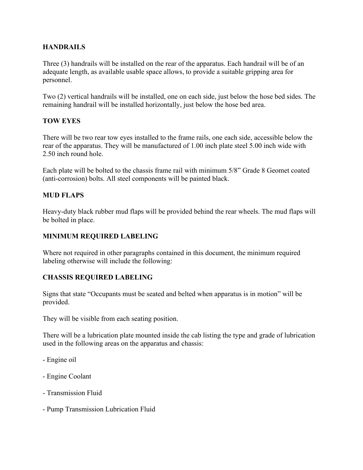#### **HANDRAILS**

Three (3) handrails will be installed on the rear of the apparatus. Each handrail will be of an adequate length, as available usable space allows, to provide a suitable gripping area for personnel.

Two (2) vertical handrails will be installed, one on each side, just below the hose bed sides. The remaining handrail will be installed horizontally, just below the hose bed area.

#### **TOW EYES**

There will be two rear tow eyes installed to the frame rails, one each side, accessible below the rear of the apparatus. They will be manufactured of 1.00 inch plate steel 5.00 inch wide with 2.50 inch round hole.

Each plate will be bolted to the chassis frame rail with minimum 5/8" Grade 8 Geomet coated (anti-corrosion) bolts. All steel components will be painted black.

#### **MUD FLAPS**

Heavy-duty black rubber mud flaps will be provided behind the rear wheels. The mud flaps will be bolted in place.

#### **MINIMUM REQUIRED LABELING**

Where not required in other paragraphs contained in this document, the minimum required labeling otherwise will include the following:

#### **CHASSIS REQUIRED LABELING**

Signs that state "Occupants must be seated and belted when apparatus is in motion" will be provided.

They will be visible from each seating position.

There will be a lubrication plate mounted inside the cab listing the type and grade of lubrication used in the following areas on the apparatus and chassis:

- Engine oil
- Engine Coolant
- Transmission Fluid
- Pump Transmission Lubrication Fluid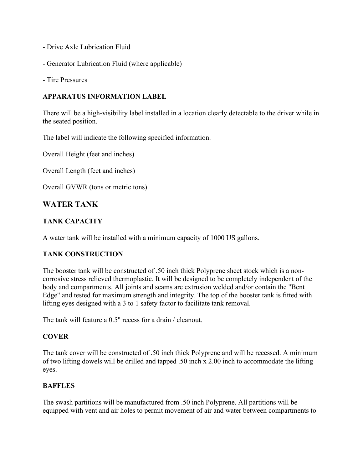- Drive Axle Lubrication Fluid
- Generator Lubrication Fluid (where applicable)
- Tire Pressures

#### **APPARATUS INFORMATION LABEL**

There will be a high-visibility label installed in a location clearly detectable to the driver while in the seated position.

The label will indicate the following specified information.

Overall Height (feet and inches)

Overall Length (feet and inches)

Overall GVWR (tons or metric tons)

## **WATER TANK**

#### **TANK CAPACITY**

A water tank will be installed with a minimum capacity of 1000 US gallons.

#### **TANK CONSTRUCTION**

The booster tank will be constructed of .50 inch thick Polyprene sheet stock which is a noncorrosive stress relieved thermoplastic. It will be designed to be completely independent of the body and compartments. All joints and seams are extrusion welded and/or contain the "Bent Edge" and tested for maximum strength and integrity. The top of the booster tank is fitted with lifting eyes designed with a 3 to 1 safety factor to facilitate tank removal.

The tank will feature a 0.5" recess for a drain / cleanout.

#### **COVER**

The tank cover will be constructed of .50 inch thick Polyprene and will be recessed. A minimum of two lifting dowels will be drilled and tapped .50 inch x 2.00 inch to accommodate the lifting eyes.

#### **BAFFLES**

The swash partitions will be manufactured from .50 inch Polyprene. All partitions will be equipped with vent and air holes to permit movement of air and water between compartments to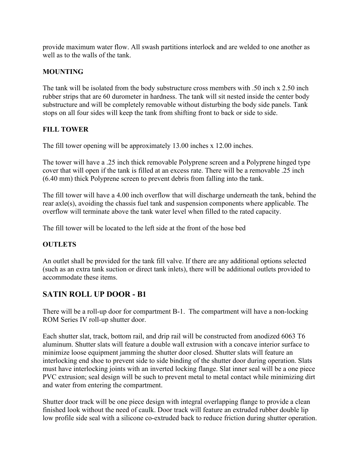provide maximum water flow. All swash partitions interlock and are welded to one another as well as to the walls of the tank.

#### **MOUNTING**

The tank will be isolated from the body substructure cross members with .50 inch x 2.50 inch rubber strips that are 60 durometer in hardness. The tank will sit nested inside the center body substructure and will be completely removable without disturbing the body side panels. Tank stops on all four sides will keep the tank from shifting front to back or side to side.

#### **FILL TOWER**

The fill tower opening will be approximately 13.00 inches x 12.00 inches.

The tower will have a .25 inch thick removable Polyprene screen and a Polyprene hinged type cover that will open if the tank is filled at an excess rate. There will be a removable .25 inch (6.40 mm) thick Polyprene screen to prevent debris from falling into the tank.

The fill tower will have a 4.00 inch overflow that will discharge underneath the tank, behind the rear axle(s), avoiding the chassis fuel tank and suspension components where applicable. The overflow will terminate above the tank water level when filled to the rated capacity.

The fill tower will be located to the left side at the front of the hose bed

## **OUTLETS**

An outlet shall be provided for the tank fill valve. If there are any additional options selected (such as an extra tank suction or direct tank inlets), there will be additional outlets provided to accommodate these items.

## **SATIN ROLL UP DOOR - B1**

There will be a roll-up door for compartment B-1. The compartment will have a non-locking ROM Series IV roll-up shutter door.

Each shutter slat, track, bottom rail, and drip rail will be constructed from anodized 6063 T6 aluminum. Shutter slats will feature a double wall extrusion with a concave interior surface to minimize loose equipment jamming the shutter door closed. Shutter slats will feature an interlocking end shoe to prevent side to side binding of the shutter door during operation. Slats must have interlocking joints with an inverted locking flange. Slat inner seal will be a one piece PVC extrusion; seal design will be such to prevent metal to metal contact while minimizing dirt and water from entering the compartment.

Shutter door track will be one piece design with integral overlapping flange to provide a clean finished look without the need of caulk. Door track will feature an extruded rubber double lip low profile side seal with a silicone co-extruded back to reduce friction during shutter operation.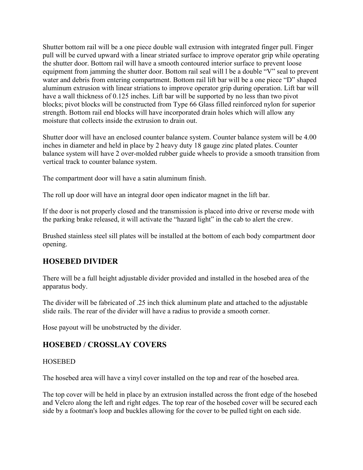Shutter bottom rail will be a one piece double wall extrusion with integrated finger pull. Finger pull will be curved upward with a linear striated surface to improve operator grip while operating the shutter door. Bottom rail will have a smooth contoured interior surface to prevent loose equipment from jamming the shutter door. Bottom rail seal will l be a double "V" seal to prevent water and debris from entering compartment. Bottom rail lift bar will be a one piece "D" shaped aluminum extrusion with linear striations to improve operator grip during operation. Lift bar will have a wall thickness of 0.125 inches. Lift bar will be supported by no less than two pivot blocks; pivot blocks will be constructed from Type 66 Glass filled reinforced nylon for superior strength. Bottom rail end blocks will have incorporated drain holes which will allow any moisture that collects inside the extrusion to drain out.

Shutter door will have an enclosed counter balance system. Counter balance system will be 4.00 inches in diameter and held in place by 2 heavy duty 18 gauge zinc plated plates. Counter balance system will have 2 over-molded rubber guide wheels to provide a smooth transition from vertical track to counter balance system.

The compartment door will have a satin aluminum finish.

The roll up door will have an integral door open indicator magnet in the lift bar.

If the door is not properly closed and the transmission is placed into drive or reverse mode with the parking brake released, it will activate the "hazard light" in the cab to alert the crew.

Brushed stainless steel sill plates will be installed at the bottom of each body compartment door opening.

## **HOSEBED DIVIDER**

There will be a full height adjustable divider provided and installed in the hosebed area of the apparatus body.

The divider will be fabricated of .25 inch thick aluminum plate and attached to the adjustable slide rails. The rear of the divider will have a radius to provide a smooth corner.

Hose payout will be unobstructed by the divider.

## **HOSEBED / CROSSLAY COVERS**

#### HOSEBED

The hosebed area will have a vinyl cover installed on the top and rear of the hosebed area.

The top cover will be held in place by an extrusion installed across the front edge of the hosebed and Velcro along the left and right edges. The top rear of the hosebed cover will be secured each side by a footman's loop and buckles allowing for the cover to be pulled tight on each side.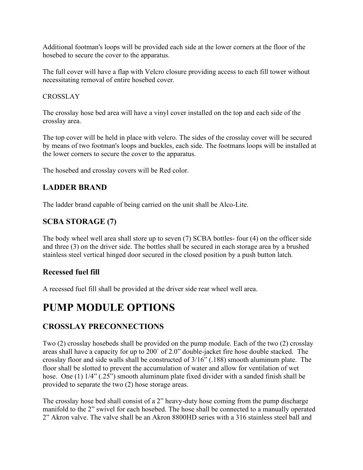Additional footman's loops will be provided each side at the lower corners at the floor of the hosebed to secure the cover to the apparatus.

The full cover will have a flap with Velcro closure providing access to each fill tower without necessitating removal of entire hosebed cover.

#### **CROSSLAY**

The crosslay hose bed area will have a vinyl cover installed on the top and each side of the crosslay area.

The top cover will be held in place with velcro. The sides of the crosslay cover will be secured by means of two footman's loops and buckles, each side. The footmans loops will be installed at the lower corners to secure the cover to the apparatus.

The hosebed and crosslay covers will be Red color.

## **LADDER BRAND**

The ladder brand capable of being carried on the unit shall be Alco-Lite.

## **SCBA STORAGE (7)**

The body wheel well area shall store up to seven (7) SCBA bottles- four (4) on the officer side and three (3) on the driver side. The bottles shall be secured in each storage area by a brushed stainless steel vertical hinged door secured in the closed position by a push button latch.

## **Recessed fuel fill**

A recessed fuel fill shall be provided at the driver side rear wheel well area.

# **PUMP MODULE OPTIONS**

## **CROSSLAY PRECONNECTIONS**

Two (2) crosslay hosebeds shall be provided on the pump module. Each of the two (2) crosslay areas shall have a capacity for up to 200` of 2.0" double-jacket fire hose double stacked. The crosslay floor and side walls shall be constructed of 3/16" (.188) smooth aluminum plate. The floor shall be slotted to prevent the accumulation of water and allow for ventilation of wet hose. One (1)  $1/4$ " (.25") smooth aluminum plate fixed divider with a sanded finish shall be provided to separate the two (2) hose storage areas.

The crosslay hose bed shall consist of a 2" heavy-duty hose coming from the pump discharge manifold to the 2" swivel for each hosebed. The hose shall be connected to a manually operated 2" Akron valve. The valve shall be an Akron 8800HD series with a 316 stainless steel ball and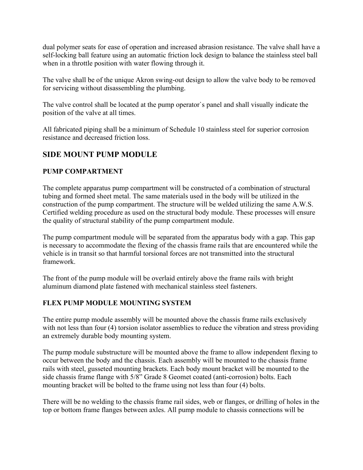dual polymer seats for ease of operation and increased abrasion resistance. The valve shall have a self-locking ball feature using an automatic friction lock design to balance the stainless steel ball when in a throttle position with water flowing through it.

The valve shall be of the unique Akron swing-out design to allow the valve body to be removed for servicing without disassembling the plumbing.

The valve control shall be located at the pump operator`s panel and shall visually indicate the position of the valve at all times.

All fabricated piping shall be a minimum of Schedule 10 stainless steel for superior corrosion resistance and decreased friction loss.

## **SIDE MOUNT PUMP MODULE**

## **PUMP COMPARTMENT**

The complete apparatus pump compartment will be constructed of a combination of structural tubing and formed sheet metal. The same materials used in the body will be utilized in the construction of the pump compartment. The structure will be welded utilizing the same A.W.S. Certified welding procedure as used on the structural body module. These processes will ensure the quality of structural stability of the pump compartment module.

The pump compartment module will be separated from the apparatus body with a gap. This gap is necessary to accommodate the flexing of the chassis frame rails that are encountered while the vehicle is in transit so that harmful torsional forces are not transmitted into the structural framework.

The front of the pump module will be overlaid entirely above the frame rails with bright aluminum diamond plate fastened with mechanical stainless steel fasteners.

## **FLEX PUMP MODULE MOUNTING SYSTEM**

The entire pump module assembly will be mounted above the chassis frame rails exclusively with not less than four (4) torsion isolator assemblies to reduce the vibration and stress providing an extremely durable body mounting system.

The pump module substructure will be mounted above the frame to allow independent flexing to occur between the body and the chassis. Each assembly will be mounted to the chassis frame rails with steel, gusseted mounting brackets. Each body mount bracket will be mounted to the side chassis frame flange with 5/8" Grade 8 Geomet coated (anti-corrosion) bolts. Each mounting bracket will be bolted to the frame using not less than four (4) bolts.

There will be no welding to the chassis frame rail sides, web or flanges, or drilling of holes in the top or bottom frame flanges between axles. All pump module to chassis connections will be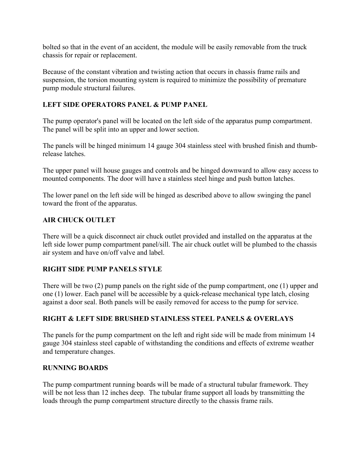bolted so that in the event of an accident, the module will be easily removable from the truck chassis for repair or replacement.

Because of the constant vibration and twisting action that occurs in chassis frame rails and suspension, the torsion mounting system is required to minimize the possibility of premature pump module structural failures.

#### **LEFT SIDE OPERATORS PANEL & PUMP PANEL**

The pump operator's panel will be located on the left side of the apparatus pump compartment. The panel will be split into an upper and lower section.

The panels will be hinged minimum 14 gauge 304 stainless steel with brushed finish and thumbrelease latches.

The upper panel will house gauges and controls and be hinged downward to allow easy access to mounted components. The door will have a stainless steel hinge and push button latches.

The lower panel on the left side will be hinged as described above to allow swinging the panel toward the front of the apparatus.

#### **AIR CHUCK OUTLET**

There will be a quick disconnect air chuck outlet provided and installed on the apparatus at the left side lower pump compartment panel/sill. The air chuck outlet will be plumbed to the chassis air system and have on/off valve and label.

#### **RIGHT SIDE PUMP PANELS STYLE**

There will be two (2) pump panels on the right side of the pump compartment, one (1) upper and one (1) lower. Each panel will be accessible by a quick-release mechanical type latch, closing against a door seal. Both panels will be easily removed for access to the pump for service.

## **RIGHT & LEFT SIDE BRUSHED STAINLESS STEEL PANELS & OVERLAYS**

The panels for the pump compartment on the left and right side will be made from minimum 14 gauge 304 stainless steel capable of withstanding the conditions and effects of extreme weather and temperature changes.

#### **RUNNING BOARDS**

The pump compartment running boards will be made of a structural tubular framework. They will be not less than 12 inches deep. The tubular frame support all loads by transmitting the loads through the pump compartment structure directly to the chassis frame rails.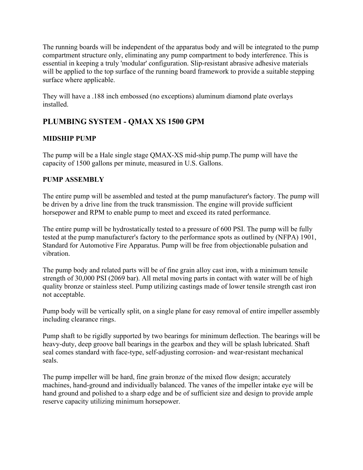The running boards will be independent of the apparatus body and will be integrated to the pump compartment structure only, eliminating any pump compartment to body interference. This is essential in keeping a truly 'modular' configuration. Slip-resistant abrasive adhesive materials will be applied to the top surface of the running board framework to provide a suitable stepping surface where applicable.

They will have a .188 inch embossed (no exceptions) aluminum diamond plate overlays installed.

## **PLUMBING SYSTEM - QMAX XS 1500 GPM**

## **MIDSHIP PUMP**

The pump will be a Hale single stage QMAX-XS mid-ship pump.The pump will have the capacity of 1500 gallons per minute, measured in U.S. Gallons.

## **PUMP ASSEMBLY**

The entire pump will be assembled and tested at the pump manufacturer's factory. The pump will be driven by a drive line from the truck transmission. The engine will provide sufficient horsepower and RPM to enable pump to meet and exceed its rated performance.

The entire pump will be hydrostatically tested to a pressure of 600 PSI. The pump will be fully tested at the pump manufacturer's factory to the performance spots as outlined by (NFPA) 1901, Standard for Automotive Fire Apparatus. Pump will be free from objectionable pulsation and vibration.

The pump body and related parts will be of fine grain alloy cast iron, with a minimum tensile strength of 30,000 PSI (2069 bar). All metal moving parts in contact with water will be of high quality bronze or stainless steel. Pump utilizing castings made of lower tensile strength cast iron not acceptable.

Pump body will be vertically split, on a single plane for easy removal of entire impeller assembly including clearance rings.

Pump shaft to be rigidly supported by two bearings for minimum deflection. The bearings will be heavy-duty, deep groove ball bearings in the gearbox and they will be splash lubricated. Shaft seal comes standard with face-type, self-adjusting corrosion- and wear-resistant mechanical seals.

The pump impeller will be hard, fine grain bronze of the mixed flow design; accurately machines, hand-ground and individually balanced. The vanes of the impeller intake eye will be hand ground and polished to a sharp edge and be of sufficient size and design to provide ample reserve capacity utilizing minimum horsepower.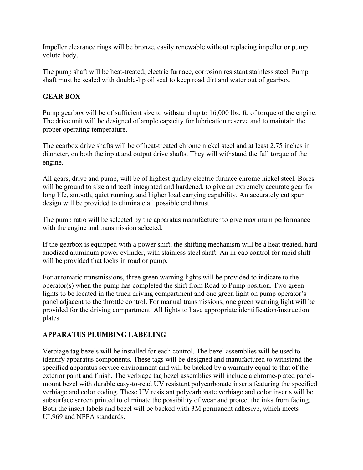Impeller clearance rings will be bronze, easily renewable without replacing impeller or pump volute body.

The pump shaft will be heat-treated, electric furnace, corrosion resistant stainless steel. Pump shaft must be sealed with double-lip oil seal to keep road dirt and water out of gearbox.

#### **GEAR BOX**

Pump gearbox will be of sufficient size to withstand up to 16,000 lbs. ft. of torque of the engine. The drive unit will be designed of ample capacity for lubrication reserve and to maintain the proper operating temperature.

The gearbox drive shafts will be of heat-treated chrome nickel steel and at least 2.75 inches in diameter, on both the input and output drive shafts. They will withstand the full torque of the engine.

All gears, drive and pump, will be of highest quality electric furnace chrome nickel steel. Bores will be ground to size and teeth integrated and hardened, to give an extremely accurate gear for long life, smooth, quiet running, and higher load carrying capability. An accurately cut spur design will be provided to eliminate all possible end thrust.

The pump ratio will be selected by the apparatus manufacturer to give maximum performance with the engine and transmission selected.

If the gearbox is equipped with a power shift, the shifting mechanism will be a heat treated, hard anodized aluminum power cylinder, with stainless steel shaft. An in-cab control for rapid shift will be provided that locks in road or pump.

For automatic transmissions, three green warning lights will be provided to indicate to the operator(s) when the pump has completed the shift from Road to Pump position. Two green lights to be located in the truck driving compartment and one green light on pump operator's panel adjacent to the throttle control. For manual transmissions, one green warning light will be provided for the driving compartment. All lights to have appropriate identification/instruction plates.

#### **APPARATUS PLUMBING LABELING**

Verbiage tag bezels will be installed for each control. The bezel assemblies will be used to identify apparatus components. These tags will be designed and manufactured to withstand the specified apparatus service environment and will be backed by a warranty equal to that of the exterior paint and finish. The verbiage tag bezel assemblies will include a chrome-plated panelmount bezel with durable easy-to-read UV resistant polycarbonate inserts featuring the specified verbiage and color coding. These UV resistant polycarbonate verbiage and color inserts will be subsurface screen printed to eliminate the possibility of wear and protect the inks from fading. Both the insert labels and bezel will be backed with 3M permanent adhesive, which meets UL969 and NFPA standards.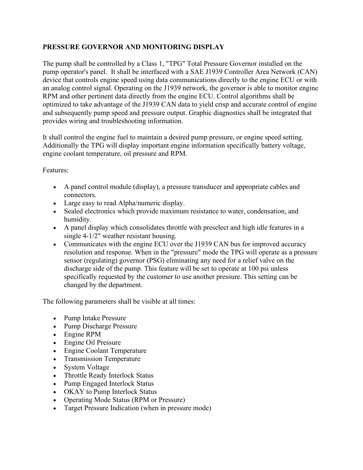#### **PRESSURE GOVERNOR AND MONITORING DISPLAY**

The pump shall be controlled by a Class 1, "TPG" Total Pressure Governor installed on the pump operator's panel. It shall be interfaced with a SAE J1939 Controller Area Network (CAN) device that controls engine speed using data communications directly to the engine ECU or with an analog control signal. Operating on the J1939 network, the governor is able to monitor engine RPM and other pertinent data directly from the engine ECU. Control algorithms shall be optimized to take advantage of the J1939 CAN data to yield crisp and accurate control of engine and subsequently pump speed and pressure output. Graphic diagnostics shall be integrated that provides wiring and troubleshooting information.

It shall control the engine fuel to maintain a desired pump pressure, or engine speed setting. Additionally the TPG will display important engine information specifically battery voltage, engine coolant temperature, oil pressure and RPM.

Features:

- A panel control module (display), a pressure transducer and appropriate cables and connectors.
- Large easy to read Alpha/numeric display.
- Sealed electronics which provide maximum resistance to water, condensation, and humidity.
- A panel display which consolidates throttle with preselect and high idle features in a single 4-1/2" weather resistant housing.
- Communicates with the engine ECU over the J1939 CAN bus for improved accuracy resolution and response. When in the "pressure" mode the TPG will operate as a pressure sensor (regulating) governor (PSG) eliminating any need for a relief valve on the discharge side of the pump. This feature will be set to operate at 100 psi unless specifically requested by the customer to use another pressure. This setting can be changed by the department.

The following parameters shall be visible at all times:

- Pump Intake Pressure
- Pump Discharge Pressure
- Engine RPM
- Engine Oil Pressure
- Engine Coolant Temperature
- Transmission Temperature
- System Voltage
- Throttle Ready Interlock Status
- Pump Engaged Interlock Status
- OKAY to Pump Interlock Status
- Operating Mode Status (RPM or Pressure)
- Target Pressure Indication (when in pressure mode)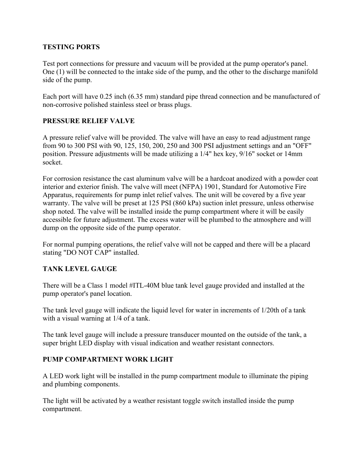#### **TESTING PORTS**

Test port connections for pressure and vacuum will be provided at the pump operator's panel. One (1) will be connected to the intake side of the pump, and the other to the discharge manifold side of the pump.

Each port will have 0.25 inch (6.35 mm) standard pipe thread connection and be manufactured of non-corrosive polished stainless steel or brass plugs.

#### **PRESSURE RELIEF VALVE**

A pressure relief valve will be provided. The valve will have an easy to read adjustment range from 90 to 300 PSI with 90, 125, 150, 200, 250 and 300 PSI adjustment settings and an "OFF" position. Pressure adjustments will be made utilizing a 1/4" hex key, 9/16" socket or 14mm socket.

For corrosion resistance the cast aluminum valve will be a hardcoat anodized with a powder coat interior and exterior finish. The valve will meet (NFPA) 1901, Standard for Automotive Fire Apparatus, requirements for pump inlet relief valves. The unit will be covered by a five year warranty. The valve will be preset at 125 PSI (860 kPa) suction inlet pressure, unless otherwise shop noted. The valve will be installed inside the pump compartment where it will be easily accessible for future adjustment. The excess water will be plumbed to the atmosphere and will dump on the opposite side of the pump operator.

For normal pumping operations, the relief valve will not be capped and there will be a placard stating "DO NOT CAP" installed.

#### **TANK LEVEL GAUGE**

There will be a Class 1 model #ITL-40M blue tank level gauge provided and installed at the pump operator's panel location.

The tank level gauge will indicate the liquid level for water in increments of 1/20th of a tank with a visual warning at 1/4 of a tank.

The tank level gauge will include a pressure transducer mounted on the outside of the tank, a super bright LED display with visual indication and weather resistant connectors.

#### **PUMP COMPARTMENT WORK LIGHT**

A LED work light will be installed in the pump compartment module to illuminate the piping and plumbing components.

The light will be activated by a weather resistant toggle switch installed inside the pump compartment.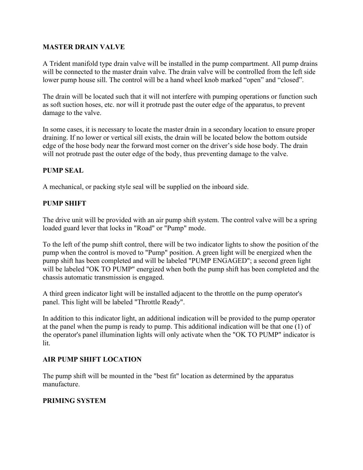#### **MASTER DRAIN VALVE**

A Trident manifold type drain valve will be installed in the pump compartment. All pump drains will be connected to the master drain valve. The drain valve will be controlled from the left side lower pump house sill. The control will be a hand wheel knob marked "open" and "closed".

The drain will be located such that it will not interfere with pumping operations or function such as soft suction hoses, etc. nor will it protrude past the outer edge of the apparatus, to prevent damage to the valve.

In some cases, it is necessary to locate the master drain in a secondary location to ensure proper draining. If no lower or vertical sill exists, the drain will be located below the bottom outside edge of the hose body near the forward most corner on the driver's side hose body. The drain will not protrude past the outer edge of the body, thus preventing damage to the valve.

#### **PUMP SEAL**

A mechanical, or packing style seal will be supplied on the inboard side.

#### **PUMP SHIFT**

The drive unit will be provided with an air pump shift system. The control valve will be a spring loaded guard lever that locks in "Road" or "Pump" mode.

To the left of the pump shift control, there will be two indicator lights to show the position of the pump when the control is moved to "Pump" position. A green light will be energized when the pump shift has been completed and will be labeled "PUMP ENGAGED"; a second green light will be labeled "OK TO PUMP" energized when both the pump shift has been completed and the chassis automatic transmission is engaged.

A third green indicator light will be installed adjacent to the throttle on the pump operator's panel. This light will be labeled "Throttle Ready".

In addition to this indicator light, an additional indication will be provided to the pump operator at the panel when the pump is ready to pump. This additional indication will be that one (1) of the operator's panel illumination lights will only activate when the "OK TO PUMP" indicator is lit.

#### **AIR PUMP SHIFT LOCATION**

The pump shift will be mounted in the "best fit" location as determined by the apparatus manufacture.

#### **PRIMING SYSTEM**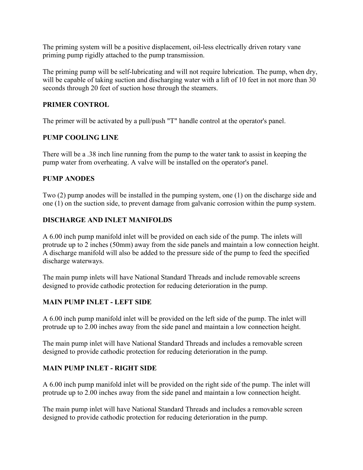The priming system will be a positive displacement, oil-less electrically driven rotary vane priming pump rigidly attached to the pump transmission.

The priming pump will be self-lubricating and will not require lubrication. The pump, when dry, will be capable of taking suction and discharging water with a lift of 10 feet in not more than 30 seconds through 20 feet of suction hose through the steamers.

#### **PRIMER CONTROL**

The primer will be activated by a pull/push "T" handle control at the operator's panel.

#### **PUMP COOLING LINE**

There will be a .38 inch line running from the pump to the water tank to assist in keeping the pump water from overheating. A valve will be installed on the operator's panel.

#### **PUMP ANODES**

Two (2) pump anodes will be installed in the pumping system, one (1) on the discharge side and one (1) on the suction side, to prevent damage from galvanic corrosion within the pump system.

#### **DISCHARGE AND INLET MANIFOLDS**

A 6.00 inch pump manifold inlet will be provided on each side of the pump. The inlets will protrude up to 2 inches (50mm) away from the side panels and maintain a low connection height. A discharge manifold will also be added to the pressure side of the pump to feed the specified discharge waterways.

The main pump inlets will have National Standard Threads and include removable screens designed to provide cathodic protection for reducing deterioration in the pump.

## **MAIN PUMP INLET - LEFT SIDE**

A 6.00 inch pump manifold inlet will be provided on the left side of the pump. The inlet will protrude up to 2.00 inches away from the side panel and maintain a low connection height.

The main pump inlet will have National Standard Threads and includes a removable screen designed to provide cathodic protection for reducing deterioration in the pump.

## **MAIN PUMP INLET - RIGHT SIDE**

A 6.00 inch pump manifold inlet will be provided on the right side of the pump. The inlet will protrude up to 2.00 inches away from the side panel and maintain a low connection height.

The main pump inlet will have National Standard Threads and includes a removable screen designed to provide cathodic protection for reducing deterioration in the pump.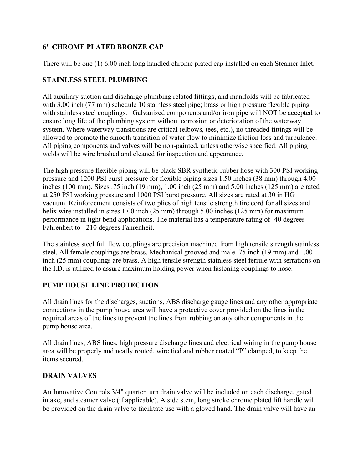## **6" CHROME PLATED BRONZE CAP**

There will be one (1) 6.00 inch long handled chrome plated cap installed on each Steamer Inlet.

#### **STAINLESS STEEL PLUMBING**

All auxiliary suction and discharge plumbing related fittings, and manifolds will be fabricated with 3.00 inch (77 mm) schedule 10 stainless steel pipe; brass or high pressure flexible piping with stainless steel couplings. Galvanized components and/or iron pipe will NOT be accepted to ensure long life of the plumbing system without corrosion or deterioration of the waterway system. Where waterway transitions are critical (elbows, tees, etc.), no threaded fittings will be allowed to promote the smooth transition of water flow to minimize friction loss and turbulence. All piping components and valves will be non-painted, unless otherwise specified. All piping welds will be wire brushed and cleaned for inspection and appearance.

The high pressure flexible piping will be black SBR synthetic rubber hose with 300 PSI working pressure and 1200 PSI burst pressure for flexible piping sizes 1.50 inches (38 mm) through 4.00 inches (100 mm). Sizes .75 inch (19 mm), 1.00 inch (25 mm) and 5.00 inches (125 mm) are rated at 250 PSI working pressure and 1000 PSI burst pressure. All sizes are rated at 30 in HG vacuum. Reinforcement consists of two plies of high tensile strength tire cord for all sizes and helix wire installed in sizes 1.00 inch (25 mm) through 5.00 inches (125 mm) for maximum performance in tight bend applications. The material has a temperature rating of -40 degrees Fahrenheit to +210 degrees Fahrenheit.

The stainless steel full flow couplings are precision machined from high tensile strength stainless steel. All female couplings are brass. Mechanical grooved and male .75 inch (19 mm) and 1.00 inch (25 mm) couplings are brass. A high tensile strength stainless steel ferrule with serrations on the I.D. is utilized to assure maximum holding power when fastening couplings to hose.

#### **PUMP HOUSE LINE PROTECTION**

All drain lines for the discharges, suctions, ABS discharge gauge lines and any other appropriate connections in the pump house area will have a protective cover provided on the lines in the required areas of the lines to prevent the lines from rubbing on any other components in the pump house area.

All drain lines, ABS lines, high pressure discharge lines and electrical wiring in the pump house area will be properly and neatly routed, wire tied and rubber coated "P" clamped, to keep the items secured.

#### **DRAIN VALVES**

An Innovative Controls 3/4" quarter turn drain valve will be included on each discharge, gated intake, and steamer valve (if applicable). A side stem, long stroke chrome plated lift handle will be provided on the drain valve to facilitate use with a gloved hand. The drain valve will have an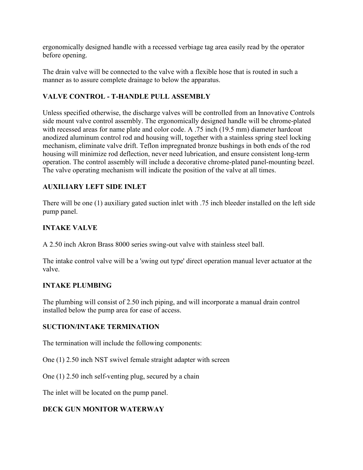ergonomically designed handle with a recessed verbiage tag area easily read by the operator before opening.

The drain valve will be connected to the valve with a flexible hose that is routed in such a manner as to assure complete drainage to below the apparatus.

#### **VALVE CONTROL - T-HANDLE PULL ASSEMBLY**

Unless specified otherwise, the discharge valves will be controlled from an Innovative Controls side mount valve control assembly. The ergonomically designed handle will be chrome-plated with recessed areas for name plate and color code. A .75 inch (19.5 mm) diameter hardcoat anodized aluminum control rod and housing will, together with a stainless spring steel locking mechanism, eliminate valve drift. Teflon impregnated bronze bushings in both ends of the rod housing will minimize rod deflection, never need lubrication, and ensure consistent long-term operation. The control assembly will include a decorative chrome-plated panel-mounting bezel. The valve operating mechanism will indicate the position of the valve at all times.

#### **AUXILIARY LEFT SIDE INLET**

There will be one (1) auxiliary gated suction inlet with .75 inch bleeder installed on the left side pump panel.

#### **INTAKE VALVE**

A 2.50 inch Akron Brass 8000 series swing-out valve with stainless steel ball.

The intake control valve will be a 'swing out type' direct operation manual lever actuator at the valve.

#### **INTAKE PLUMBING**

The plumbing will consist of 2.50 inch piping, and will incorporate a manual drain control installed below the pump area for ease of access.

#### **SUCTION/INTAKE TERMINATION**

The termination will include the following components:

One (1) 2.50 inch NST swivel female straight adapter with screen

One (1) 2.50 inch self-venting plug, secured by a chain

The inlet will be located on the pump panel.

#### **DECK GUN MONITOR WATERWAY**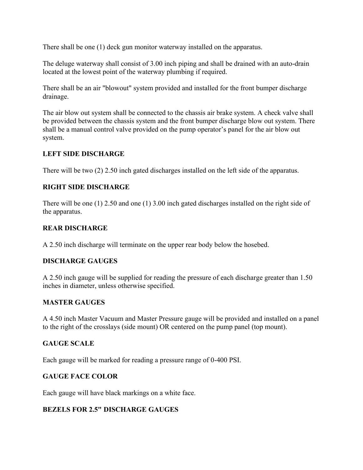There shall be one (1) deck gun monitor waterway installed on the apparatus.

The deluge waterway shall consist of 3.00 inch piping and shall be drained with an auto-drain located at the lowest point of the waterway plumbing if required.

There shall be an air "blowout" system provided and installed for the front bumper discharge drainage.

The air blow out system shall be connected to the chassis air brake system. A check valve shall be provided between the chassis system and the front bumper discharge blow out system. There shall be a manual control valve provided on the pump operator's panel for the air blow out system.

#### **LEFT SIDE DISCHARGE**

There will be two (2) 2.50 inch gated discharges installed on the left side of the apparatus.

#### **RIGHT SIDE DISCHARGE**

There will be one (1) 2.50 and one (1) 3.00 inch gated discharges installed on the right side of the apparatus.

#### **REAR DISCHARGE**

A 2.50 inch discharge will terminate on the upper rear body below the hosebed.

#### **DISCHARGE GAUGES**

A 2.50 inch gauge will be supplied for reading the pressure of each discharge greater than 1.50 inches in diameter, unless otherwise specified.

#### **MASTER GAUGES**

A 4.50 inch Master Vacuum and Master Pressure gauge will be provided and installed on a panel to the right of the crosslays (side mount) OR centered on the pump panel (top mount).

#### **GAUGE SCALE**

Each gauge will be marked for reading a pressure range of 0-400 PSI.

#### **GAUGE FACE COLOR**

Each gauge will have black markings on a white face.

#### **BEZELS FOR 2.5" DISCHARGE GAUGES**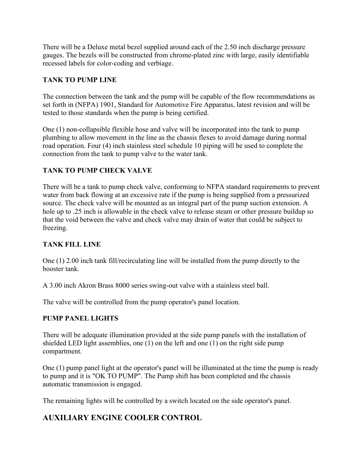There will be a Deluxe metal bezel supplied around each of the 2.50 inch discharge pressure gauges. The bezels will be constructed from chrome-plated zinc with large, easily identifiable recessed labels for color-coding and verbiage.

#### **TANK TO PUMP LINE**

The connection between the tank and the pump will be capable of the flow recommendations as set forth in (NFPA) 1901, Standard for Automotive Fire Apparatus, latest revision and will be tested to those standards when the pump is being certified.

One (1) non-collapsible flexible hose and valve will be incorporated into the tank to pump plumbing to allow movement in the line as the chassis flexes to avoid damage during normal road operation. Four (4) inch stainless steel schedule 10 piping will be used to complete the connection from the tank to pump valve to the water tank.

#### **TANK TO PUMP CHECK VALVE**

There will be a tank to pump check valve, conforming to NFPA standard requirements to prevent water from back flowing at an excessive rate if the pump is being supplied from a pressurized source. The check valve will be mounted as an integral part of the pump suction extension. A hole up to .25 inch is allowable in the check valve to release steam or other pressure buildup so that the void between the valve and check valve may drain of water that could be subject to freezing.

## **TANK FILL LINE**

One (1) 2.00 inch tank fill/recirculating line will be installed from the pump directly to the booster tank.

A 3.00 inch Akron Brass 8000 series swing-out valve with a stainless steel ball.

The valve will be controlled from the pump operator's panel location.

#### **PUMP PANEL LIGHTS**

There will be adequate illumination provided at the side pump panels with the installation of shielded LED light assemblies, one  $(1)$  on the left and one  $(1)$  on the right side pump compartment.

One (1) pump panel light at the operator's panel will be illuminated at the time the pump is ready to pump and it is "OK TO PUMP". The Pump shift has been completed and the chassis automatic transmission is engaged.

The remaining lights will be controlled by a switch located on the side operator's panel.

## **AUXILIARY ENGINE COOLER CONTROL**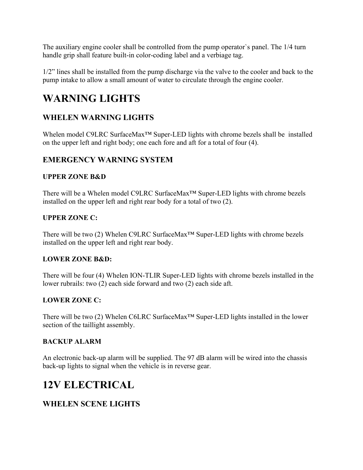The auxiliary engine cooler shall be controlled from the pump operator`s panel. The 1/4 turn handle grip shall feature built-in color-coding label and a verbiage tag.

1/2" lines shall be installed from the pump discharge via the valve to the cooler and back to the pump intake to allow a small amount of water to circulate through the engine cooler.

# **WARNING LIGHTS**

# **WHELEN WARNING LIGHTS**

Whelen model C9LRC SurfaceMax™ Super-LED lights with chrome bezels shall be installed on the upper left and right body; one each fore and aft for a total of four (4).

## **EMERGENCY WARNING SYSTEM**

## **UPPER ZONE B&D**

There will be a Whelen model C9LRC SurfaceMax™ Super-LED lights with chrome bezels installed on the upper left and right rear body for a total of two (2).

#### **UPPER ZONE C:**

There will be two (2) Whelen C9LRC SurfaceMax™ Super-LED lights with chrome bezels installed on the upper left and right rear body.

#### **LOWER ZONE B&D:**

There will be four (4) Whelen ION-TLIR Super-LED lights with chrome bezels installed in the lower rubrails: two (2) each side forward and two (2) each side aft.

## **LOWER ZONE C:**

There will be two (2) Whelen C6LRC SurfaceMax™ Super-LED lights installed in the lower section of the taillight assembly.

## **BACKUP ALARM**

An electronic back-up alarm will be supplied. The 97 dB alarm will be wired into the chassis back-up lights to signal when the vehicle is in reverse gear.

# **12V ELECTRICAL**

## **WHELEN SCENE LIGHTS**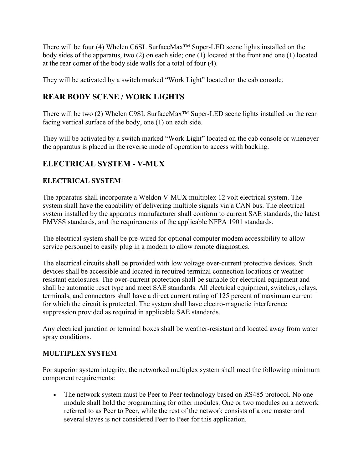There will be four (4) Whelen C6SL SurfaceMax™ Super-LED scene lights installed on the body sides of the apparatus, two (2) on each side; one (1) located at the front and one (1) located at the rear corner of the body side walls for a total of four (4).

They will be activated by a switch marked "Work Light" located on the cab console.

## **REAR BODY SCENE / WORK LIGHTS**

There will be two (2) Whelen C9SL SurfaceMax™ Super-LED scene lights installed on the rear facing vertical surface of the body, one (1) on each side.

They will be activated by a switch marked "Work Light" located on the cab console or whenever the apparatus is placed in the reverse mode of operation to access with backing.

# **ELECTRICAL SYSTEM - V-MUX**

## **ELECTRICAL SYSTEM**

The apparatus shall incorporate a Weldon V-MUX multiplex 12 volt electrical system. The system shall have the capability of delivering multiple signals via a CAN bus. The electrical system installed by the apparatus manufacturer shall conform to current SAE standards, the latest FMVSS standards, and the requirements of the applicable NFPA 1901 standards.

The electrical system shall be pre-wired for optional computer modem accessibility to allow service personnel to easily plug in a modem to allow remote diagnostics.

The electrical circuits shall be provided with low voltage over-current protective devices. Such devices shall be accessible and located in required terminal connection locations or weatherresistant enclosures. The over-current protection shall be suitable for electrical equipment and shall be automatic reset type and meet SAE standards. All electrical equipment, switches, relays, terminals, and connectors shall have a direct current rating of 125 percent of maximum current for which the circuit is protected. The system shall have electro-magnetic interference suppression provided as required in applicable SAE standards.

Any electrical junction or terminal boxes shall be weather-resistant and located away from water spray conditions.

## **MULTIPLEX SYSTEM**

For superior system integrity, the networked multiplex system shall meet the following minimum component requirements:

• The network system must be Peer to Peer technology based on RS485 protocol. No one module shall hold the programming for other modules. One or two modules on a network referred to as Peer to Peer, while the rest of the network consists of a one master and several slaves is not considered Peer to Peer for this application.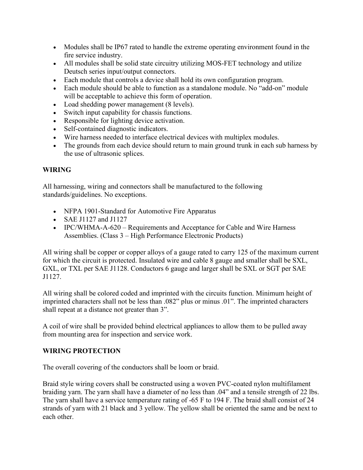- Modules shall be IP67 rated to handle the extreme operating environment found in the fire service industry.
- All modules shall be solid state circuitry utilizing MOS-FET technology and utilize Deutsch series input/output connectors.
- Each module that controls a device shall hold its own configuration program.
- Each module should be able to function as a standalone module. No "add-on" module will be acceptable to achieve this form of operation.
- Load shedding power management (8 levels).
- Switch input capability for chassis functions.
- Responsible for lighting device activation.
- Self-contained diagnostic indicators.
- Wire harness needed to interface electrical devices with multiplex modules.
- The grounds from each device should return to main ground trunk in each sub harness by the use of ultrasonic splices.

#### **WIRING**

All harnessing, wiring and connectors shall be manufactured to the following standards/guidelines. No exceptions.

- NFPA 1901-Standard for Automotive Fire Apparatus
- SAE J1127 and J1127
- IPC/WHMA-A-620 Requirements and Acceptance for Cable and Wire Harness Assemblies. (Class 3 – High Performance Electronic Products)

All wiring shall be copper or copper alloys of a gauge rated to carry 125 of the maximum current for which the circuit is protected. Insulated wire and cable 8 gauge and smaller shall be SXL, GXL, or TXL per SAE J1128. Conductors 6 gauge and larger shall be SXL or SGT per SAE J1127.

All wiring shall be colored coded and imprinted with the circuits function. Minimum height of imprinted characters shall not be less than .082" plus or minus .01". The imprinted characters shall repeat at a distance not greater than 3".

A coil of wire shall be provided behind electrical appliances to allow them to be pulled away from mounting area for inspection and service work.

#### **WIRING PROTECTION**

The overall covering of the conductors shall be loom or braid.

Braid style wiring covers shall be constructed using a woven PVC-coated nylon multifilament braiding yarn. The yarn shall have a diameter of no less than .04" and a tensile strength of 22 lbs. The yarn shall have a service temperature rating of -65 F to 194 F. The braid shall consist of 24 strands of yarn with 21 black and 3 yellow. The yellow shall be oriented the same and be next to each other.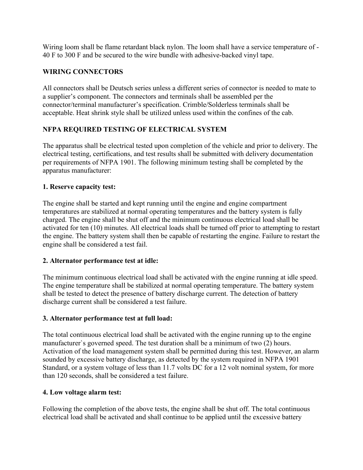Wiring loom shall be flame retardant black nylon. The loom shall have a service temperature of - 40 F to 300 F and be secured to the wire bundle with adhesive-backed vinyl tape.

#### **WIRING CONNECTORS**

All connectors shall be Deutsch series unless a different series of connector is needed to mate to a supplier's component. The connectors and terminals shall be assembled per the connector/terminal manufacturer's specification. Crimble/Solderless terminals shall be acceptable. Heat shrink style shall be utilized unless used within the confines of the cab.

#### **NFPA REQUIRED TESTING OF ELECTRICAL SYSTEM**

The apparatus shall be electrical tested upon completion of the vehicle and prior to delivery. The electrical testing, certifications, and test results shall be submitted with delivery documentation per requirements of NFPA 1901. The following minimum testing shall be completed by the apparatus manufacturer:

#### **1. Reserve capacity test:**

The engine shall be started and kept running until the engine and engine compartment temperatures are stabilized at normal operating temperatures and the battery system is fully charged. The engine shall be shut off and the minimum continuous electrical load shall be activated for ten (10) minutes. All electrical loads shall be turned off prior to attempting to restart the engine. The battery system shall then be capable of restarting the engine. Failure to restart the engine shall be considered a test fail.

#### **2. Alternator performance test at idle:**

The minimum continuous electrical load shall be activated with the engine running at idle speed. The engine temperature shall be stabilized at normal operating temperature. The battery system shall be tested to detect the presence of battery discharge current. The detection of battery discharge current shall be considered a test failure.

#### **3. Alternator performance test at full load:**

The total continuous electrical load shall be activated with the engine running up to the engine manufacturer`s governed speed. The test duration shall be a minimum of two (2) hours. Activation of the load management system shall be permitted during this test. However, an alarm sounded by excessive battery discharge, as detected by the system required in NFPA 1901 Standard, or a system voltage of less than 11.7 volts DC for a 12 volt nominal system, for more than 120 seconds, shall be considered a test failure.

#### **4. Low voltage alarm test:**

Following the completion of the above tests, the engine shall be shut off. The total continuous electrical load shall be activated and shall continue to be applied until the excessive battery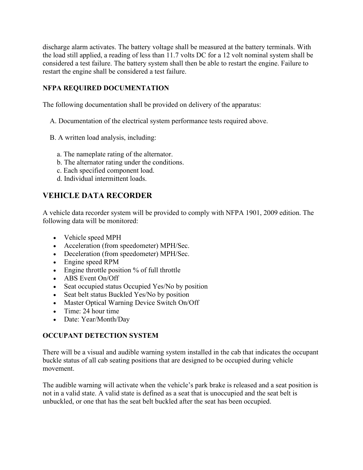discharge alarm activates. The battery voltage shall be measured at the battery terminals. With the load still applied, a reading of less than 11.7 volts DC for a 12 volt nominal system shall be considered a test failure. The battery system shall then be able to restart the engine. Failure to restart the engine shall be considered a test failure.

#### **NFPA REQUIRED DOCUMENTATION**

The following documentation shall be provided on delivery of the apparatus:

- A. Documentation of the electrical system performance tests required above.
- B. A written load analysis, including:
	- a. The nameplate rating of the alternator.
	- b. The alternator rating under the conditions.
	- c. Each specified component load.
	- d. Individual intermittent loads.

## **VEHICLE DATA RECORDER**

A vehicle data recorder system will be provided to comply with NFPA 1901, 2009 edition. The following data will be monitored:

- Vehicle speed MPH
- Acceleration (from speedometer) MPH/Sec.
- Deceleration (from speedometer) MPH/Sec.
- Engine speed RPM
- Engine throttle position % of full throttle
- ABS Event On/Off
- Seat occupied status Occupied Yes/No by position
- Seat belt status Buckled Yes/No by position
- Master Optical Warning Device Switch On/Off
- Time: 24 hour time
- Date: Year/Month/Day

#### **OCCUPANT DETECTION SYSTEM**

There will be a visual and audible warning system installed in the cab that indicates the occupant buckle status of all cab seating positions that are designed to be occupied during vehicle movement.

The audible warning will activate when the vehicle's park brake is released and a seat position is not in a valid state. A valid state is defined as a seat that is unoccupied and the seat belt is unbuckled, or one that has the seat belt buckled after the seat has been occupied.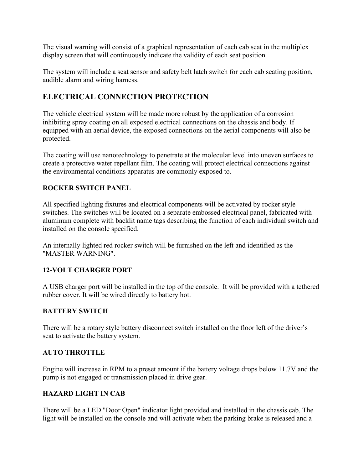The visual warning will consist of a graphical representation of each cab seat in the multiplex display screen that will continuously indicate the validity of each seat position.

The system will include a seat sensor and safety belt latch switch for each cab seating position, audible alarm and wiring harness.

## **ELECTRICAL CONNECTION PROTECTION**

The vehicle electrical system will be made more robust by the application of a corrosion inhibiting spray coating on all exposed electrical connections on the chassis and body. If equipped with an aerial device, the exposed connections on the aerial components will also be protected.

The coating will use nanotechnology to penetrate at the molecular level into uneven surfaces to create a protective water repellant film. The coating will protect electrical connections against the environmental conditions apparatus are commonly exposed to.

#### **ROCKER SWITCH PANEL**

All specified lighting fixtures and electrical components will be activated by rocker style switches. The switches will be located on a separate embossed electrical panel, fabricated with aluminum complete with backlit name tags describing the function of each individual switch and installed on the console specified.

An internally lighted red rocker switch will be furnished on the left and identified as the "MASTER WARNING".

#### **12-VOLT CHARGER PORT**

A USB charger port will be installed in the top of the console. It will be provided with a tethered rubber cover. It will be wired directly to battery hot.

#### **BATTERY SWITCH**

There will be a rotary style battery disconnect switch installed on the floor left of the driver's seat to activate the battery system.

#### **AUTO THROTTLE**

Engine will increase in RPM to a preset amount if the battery voltage drops below 11.7V and the pump is not engaged or transmission placed in drive gear.

#### **HAZARD LIGHT IN CAB**

There will be a LED "Door Open" indicator light provided and installed in the chassis cab. The light will be installed on the console and will activate when the parking brake is released and a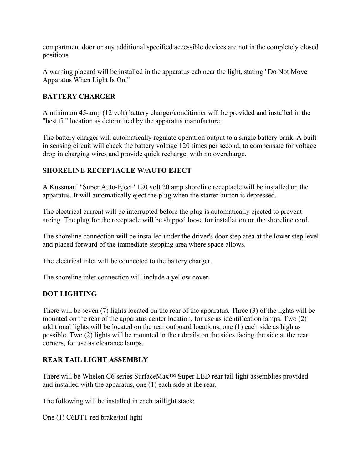compartment door or any additional specified accessible devices are not in the completely closed positions.

A warning placard will be installed in the apparatus cab near the light, stating "Do Not Move Apparatus When Light Is On."

## **BATTERY CHARGER**

A minimum 45-amp (12 volt) battery charger/conditioner will be provided and installed in the "best fit" location as determined by the apparatus manufacture.

The battery charger will automatically regulate operation output to a single battery bank. A built in sensing circuit will check the battery voltage 120 times per second, to compensate for voltage drop in charging wires and provide quick recharge, with no overcharge.

#### **SHORELINE RECEPTACLE W/AUTO EJECT**

A Kussmaul "Super Auto-Eject" 120 volt 20 amp shoreline receptacle will be installed on the apparatus. It will automatically eject the plug when the starter button is depressed.

The electrical current will be interrupted before the plug is automatically ejected to prevent arcing. The plug for the receptacle will be shipped loose for installation on the shoreline cord.

The shoreline connection will be installed under the driver's door step area at the lower step level and placed forward of the immediate stepping area where space allows.

The electrical inlet will be connected to the battery charger.

The shoreline inlet connection will include a yellow cover.

## **DOT LIGHTING**

There will be seven (7) lights located on the rear of the apparatus. Three (3) of the lights will be mounted on the rear of the apparatus center location, for use as identification lamps. Two (2) additional lights will be located on the rear outboard locations, one (1) each side as high as possible. Two (2) lights will be mounted in the rubrails on the sides facing the side at the rear corners, for use as clearance lamps.

#### **REAR TAIL LIGHT ASSEMBLY**

There will be Whelen C6 series SurfaceMax™ Super LED rear tail light assemblies provided and installed with the apparatus, one (1) each side at the rear.

The following will be installed in each taillight stack:

One (1) C6BTT red brake/tail light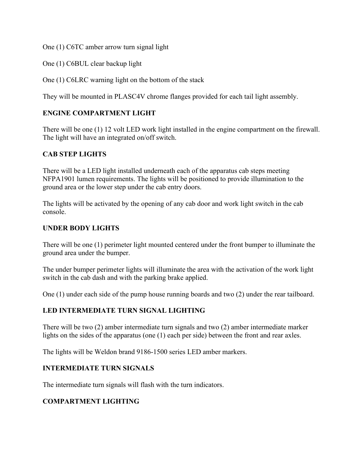One (1) C6TC amber arrow turn signal light

One (1) C6BUL clear backup light

One (1) C6LRC warning light on the bottom of the stack

They will be mounted in PLASC4V chrome flanges provided for each tail light assembly.

#### **ENGINE COMPARTMENT LIGHT**

There will be one (1) 12 volt LED work light installed in the engine compartment on the firewall. The light will have an integrated on/off switch.

#### **CAB STEP LIGHTS**

There will be a LED light installed underneath each of the apparatus cab steps meeting NFPA1901 lumen requirements. The lights will be positioned to provide illumination to the ground area or the lower step under the cab entry doors.

The lights will be activated by the opening of any cab door and work light switch in the cab console.

#### **UNDER BODY LIGHTS**

There will be one (1) perimeter light mounted centered under the front bumper to illuminate the ground area under the bumper.

The under bumper perimeter lights will illuminate the area with the activation of the work light switch in the cab dash and with the parking brake applied.

One (1) under each side of the pump house running boards and two (2) under the rear tailboard.

#### **LED INTERMEDIATE TURN SIGNAL LIGHTING**

There will be two (2) amber intermediate turn signals and two (2) amber intermediate marker lights on the sides of the apparatus (one (1) each per side) between the front and rear axles.

The lights will be Weldon brand 9186-1500 series LED amber markers.

#### **INTERMEDIATE TURN SIGNALS**

The intermediate turn signals will flash with the turn indicators.

#### **COMPARTMENT LIGHTING**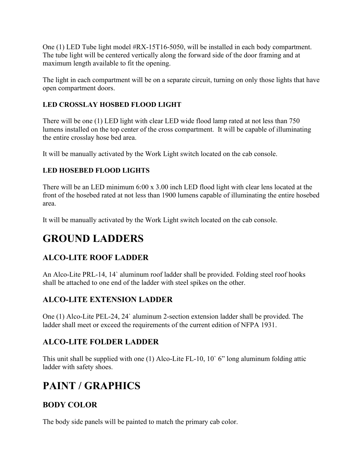One (1) LED Tube light model #RX-15T16-5050, will be installed in each body compartment. The tube light will be centered vertically along the forward side of the door framing and at maximum length available to fit the opening.

The light in each compartment will be on a separate circuit, turning on only those lights that have open compartment doors.

## **LED CROSSLAY HOSBED FLOOD LIGHT**

There will be one (1) LED light with clear LED wide flood lamp rated at not less than 750 lumens installed on the top center of the cross compartment. It will be capable of illuminating the entire crosslay hose bed area.

It will be manually activated by the Work Light switch located on the cab console.

## **LED HOSEBED FLOOD LIGHTS**

There will be an LED minimum 6:00 x 3.00 inch LED flood light with clear lens located at the front of the hosebed rated at not less than 1900 lumens capable of illuminating the entire hosebed area.

It will be manually activated by the Work Light switch located on the cab console.

# **GROUND LADDERS**

## **ALCO-LITE ROOF LADDER**

An Alco-Lite PRL-14, 14` aluminum roof ladder shall be provided. Folding steel roof hooks shall be attached to one end of the ladder with steel spikes on the other.

## **ALCO-LITE EXTENSION LADDER**

One (1) Alco-Lite PEL-24, 24` aluminum 2-section extension ladder shall be provided. The ladder shall meet or exceed the requirements of the current edition of NFPA 1931.

## **ALCO-LITE FOLDER LADDER**

This unit shall be supplied with one (1) Alco-Lite FL-10, 10` 6" long aluminum folding attic ladder with safety shoes.

# **PAINT / GRAPHICS**

## **BODY COLOR**

The body side panels will be painted to match the primary cab color.